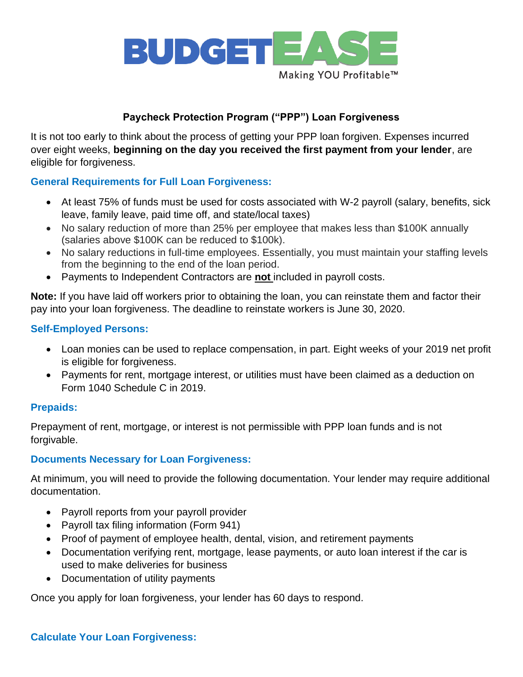

# **Paycheck Protection Program ("PPP") Loan Forgiveness**

It is not too early to think about the process of getting your PPP loan forgiven. Expenses incurred over eight weeks, **beginning on the day you received the first payment from your lender**, are eligible for forgiveness.

# **General Requirements for Full Loan Forgiveness:**

- At least 75% of funds must be used for costs associated with W-2 payroll (salary, benefits, sick leave, family leave, paid time off, and state/local taxes)
- No salary reduction of more than 25% per employee that makes less than \$100K annually (salaries above \$100K can be reduced to \$100k).
- No salary reductions in full-time employees. Essentially, you must maintain your staffing levels from the beginning to the end of the loan period.
- Payments to Independent Contractors are **not** included in payroll costs.

**Note:** If you have laid off workers prior to obtaining the loan, you can reinstate them and factor their pay into your loan forgiveness. The deadline to reinstate workers is June 30, 2020.

### **Self-Employed Persons:**

- Loan monies can be used to replace compensation, in part. Eight weeks of your 2019 net profit is eligible for forgiveness.
- Payments for rent, mortgage interest, or utilities must have been claimed as a deduction on Form 1040 Schedule C in 2019.

### **Prepaids:**

Prepayment of rent, mortgage, or interest is not permissible with PPP loan funds and is not forgivable.

### **Documents Necessary for Loan Forgiveness:**

At minimum, you will need to provide the following documentation. Your lender may require additional documentation.

- Payroll reports from your payroll provider
- Payroll tax filing information (Form 941)
- Proof of payment of employee health, dental, vision, and retirement payments
- Documentation verifying rent, mortgage, lease payments, or auto loan interest if the car is used to make deliveries for business
- Documentation of utility payments

Once you apply for loan forgiveness, your lender has 60 days to respond.

### **Calculate Your Loan Forgiveness:**